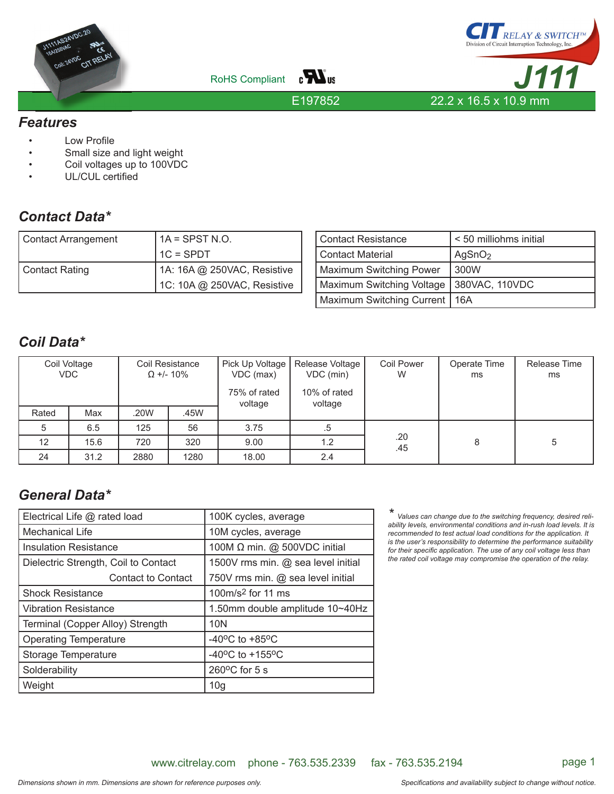





E197852

#### *Features*

- **Low Profile**
- Small size and light weight
- Coil voltages up to 100VDC
- UL/CUL certified

## *Contact Data\**

| Contact Arrangement | $1A =$ SPST N.O.            |  |  |
|---------------------|-----------------------------|--|--|
|                     | l 1C = SPDT                 |  |  |
| Contact Rating      | 1A: 16A @ 250VAC, Resistive |  |  |
|                     | 1C: 10A @ 250VAC, Resistive |  |  |

| Contact Resistance        | < 50 milliohms initial |  |  |
|---------------------------|------------------------|--|--|
| Contact Material          | AgSnO <sub>2</sub>     |  |  |
| Maximum Switching Power   | 300W                   |  |  |
| Maximum Switching Voltage | 380VAC, 110VDC         |  |  |
| Maximum Switching Current | 16A                    |  |  |

### *Coil Data\**

| Coil Voltage<br><b>VDC</b> |      | Coil Resistance<br>$\Omega$ +/- 10% |      | Pick Up Voltage<br>VDC (max)<br>75% of rated<br>voltage | Release Voltage<br>VDC (min)<br>10% of rated<br>voltage | <b>Coil Power</b><br>W | Operate Time<br>ms | Release Time<br>ms |
|----------------------------|------|-------------------------------------|------|---------------------------------------------------------|---------------------------------------------------------|------------------------|--------------------|--------------------|
| Rated                      | Max  | .20W                                | .45W |                                                         |                                                         |                        |                    |                    |
| 5                          | 6.5  | 125                                 | 56   | 3.75                                                    | .ხ                                                      |                        |                    |                    |
| 12                         | 15.6 | 720                                 | 320  | 9.00                                                    | 1.2                                                     | .20<br>.45             | 8                  | 5                  |
| 24                         | 31.2 | 2880                                | 1280 | 18.00                                                   | 2.4                                                     |                        |                    |                    |

## *General Data\**

| Electrical Life @ rated load         | 100K cycles, average                  |  |  |
|--------------------------------------|---------------------------------------|--|--|
| Mechanical Life                      | 10M cycles, average                   |  |  |
| <b>Insulation Resistance</b>         | 100M $\Omega$ min. @ 500VDC initial   |  |  |
| Dielectric Strength, Coil to Contact | 1500V rms min. @ sea level initial    |  |  |
| <b>Contact to Contact</b>            | 750V rms min. @ sea level initial     |  |  |
| <b>Shock Resistance</b>              | 100m/s <sup>2</sup> for 11 ms         |  |  |
| <b>Vibration Resistance</b>          | 1.50mm double amplitude 10~40Hz       |  |  |
| Terminal (Copper Alloy) Strength     | 10N                                   |  |  |
| <b>Operating Temperature</b>         | $-40^{\circ}$ C to $+85^{\circ}$ C    |  |  |
| Storage Temperature                  | -40 $^{\circ}$ C to +155 $^{\circ}$ C |  |  |
| Solderability                        | $260^{\circ}$ C for 5 s               |  |  |
| Weight                               | 10 <sub>g</sub>                       |  |  |

Values can change due to the switching frequency, desired reli*ability levels, environmental conditions and in-rush load levels. It is recommended to test actual load conditions for the application. It is the user's responsibility to determine the performance suitability*  for their specific application. The use of any coil voltage less than *the rated coil voltage may compromise the operation of the relay.*

www.citrelay.com phone - 763.535.2339 fax - 763.535.2194 page 1